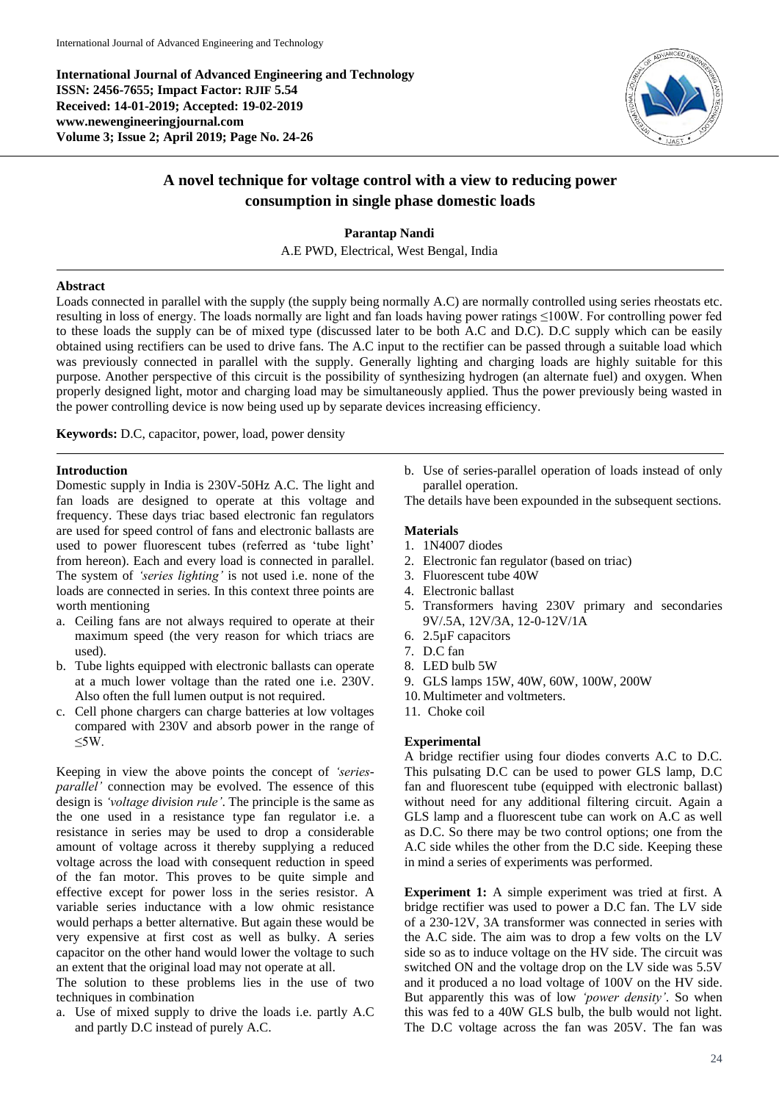**International Journal of Advanced Engineering and Technology ISSN: 2456-7655; Impact Factor: RJIF 5.54 Received: 14-01-2019; Accepted: 19-02-2019 www.newengineeringjournal.com Volume 3; Issue 2; April 2019; Page No. 24-26**



# **A novel technique for voltage control with a view to reducing power consumption in single phase domestic loads**

**Parantap Nandi** A.E PWD, Electrical, West Bengal, India

## **Abstract**

Loads connected in parallel with the supply (the supply being normally A.C) are normally controlled using series rheostats etc. resulting in loss of energy. The loads normally are light and fan loads having power ratings ≤100W. For controlling power fed to these loads the supply can be of mixed type (discussed later to be both A.C and D.C). D.C supply which can be easily obtained using rectifiers can be used to drive fans. The A.C input to the rectifier can be passed through a suitable load which was previously connected in parallel with the supply. Generally lighting and charging loads are highly suitable for this purpose. Another perspective of this circuit is the possibility of synthesizing hydrogen (an alternate fuel) and oxygen. When properly designed light, motor and charging load may be simultaneously applied. Thus the power previously being wasted in the power controlling device is now being used up by separate devices increasing efficiency.

**Keywords:** D.C, capacitor, power, load, power density

# **Introduction**

Domestic supply in India is 230V-50Hz A.C. The light and fan loads are designed to operate at this voltage and frequency. These days triac based electronic fan regulators are used for speed control of fans and electronic ballasts are used to power fluorescent tubes (referred as 'tube light' from hereon). Each and every load is connected in parallel. The system of *'series lighting'* is not used i.e. none of the loads are connected in series. In this context three points are worth mentioning

- a. Ceiling fans are not always required to operate at their maximum speed (the very reason for which triacs are used).
- b. Tube lights equipped with electronic ballasts can operate at a much lower voltage than the rated one i.e. 230V. Also often the full lumen output is not required.
- c. Cell phone chargers can charge batteries at low voltages compared with 230V and absorb power in the range of ≤5W.

Keeping in view the above points the concept of *'seriesparallel'* connection may be evolved. The essence of this design is *'voltage division rule'*. The principle is the same as the one used in a resistance type fan regulator i.e. a resistance in series may be used to drop a considerable amount of voltage across it thereby supplying a reduced voltage across the load with consequent reduction in speed of the fan motor. This proves to be quite simple and effective except for power loss in the series resistor. A variable series inductance with a low ohmic resistance would perhaps a better alternative. But again these would be very expensive at first cost as well as bulky. A series capacitor on the other hand would lower the voltage to such an extent that the original load may not operate at all.

The solution to these problems lies in the use of two techniques in combination

a. Use of mixed supply to drive the loads i.e. partly A.C and partly D.C instead of purely A.C.

- b. Use of series-parallel operation of loads instead of only parallel operation.
- The details have been expounded in the subsequent sections.

# **Materials**

- 1. 1N4007 diodes
- 2. Electronic fan regulator (based on triac)
- 3. Fluorescent tube 40W
- 4. Electronic ballast
- 5. Transformers having 230V primary and secondaries 9V/.5A, 12V/3A, 12-0-12V/1A
- 6. 2.5µF capacitors
- 7. D.C fan
- 8. LED bulb 5W
- 9. GLS lamps 15W, 40W, 60W, 100W, 200W
- 10. Multimeter and voltmeters.
- 11. Choke coil

# **Experimental**

A bridge rectifier using four diodes converts A.C to D.C. This pulsating D.C can be used to power GLS lamp, D.C fan and fluorescent tube (equipped with electronic ballast) without need for any additional filtering circuit. Again a GLS lamp and a fluorescent tube can work on A.C as well as D.C. So there may be two control options; one from the A.C side whiles the other from the D.C side. Keeping these in mind a series of experiments was performed.

**Experiment 1:** A simple experiment was tried at first. A bridge rectifier was used to power a D.C fan. The LV side of a 230-12V, 3A transformer was connected in series with the A.C side. The aim was to drop a few volts on the LV side so as to induce voltage on the HV side. The circuit was switched ON and the voltage drop on the LV side was 5.5V and it produced a no load voltage of 100V on the HV side. But apparently this was of low *'power density'*. So when this was fed to a 40W GLS bulb, the bulb would not light. The D.C voltage across the fan was 205V. The fan was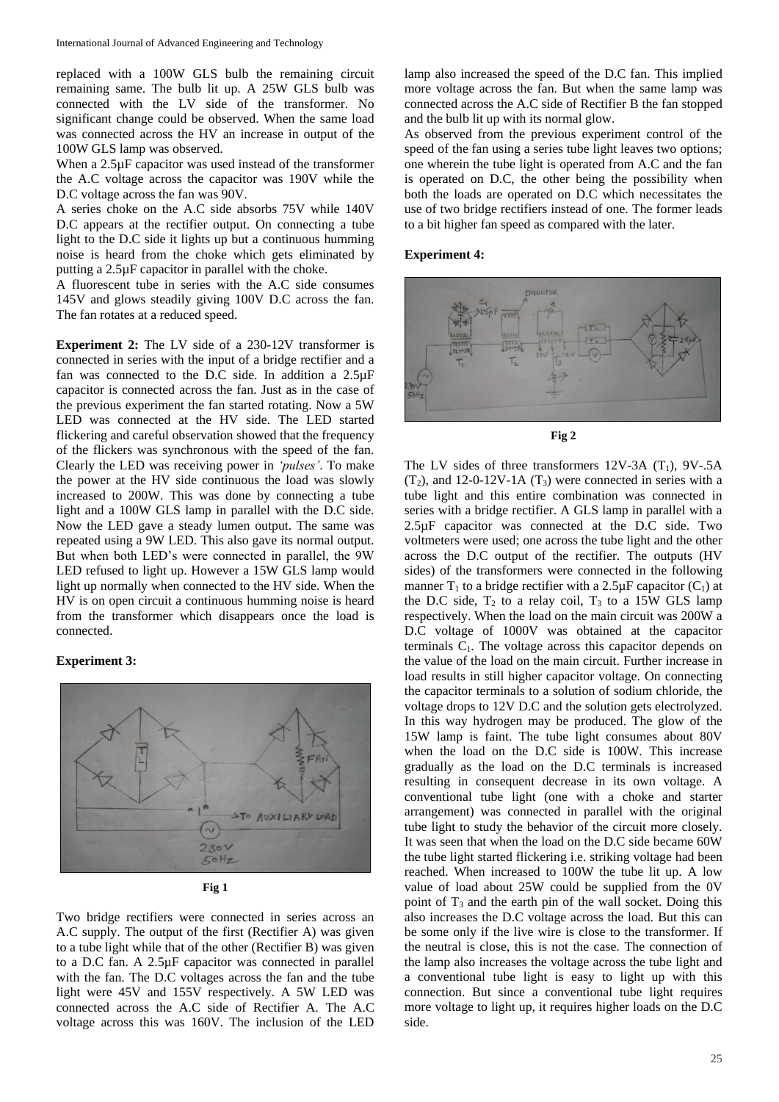replaced with a 100W GLS bulb the remaining circuit remaining same. The bulb lit up. A 25W GLS bulb was connected with the LV side of the transformer. No significant change could be observed. When the same load was connected across the HV an increase in output of the 100W GLS lamp was observed.

When a 2.5µF capacitor was used instead of the transformer the A.C voltage across the capacitor was 190V while the D.C voltage across the fan was 90V.

A series choke on the A.C side absorbs 75V while 140V D.C appears at the rectifier output. On connecting a tube light to the D.C side it lights up but a continuous humming noise is heard from the choke which gets eliminated by putting a 2.5µF capacitor in parallel with the choke.

A fluorescent tube in series with the A.C side consumes 145V and glows steadily giving 100V D.C across the fan. The fan rotates at a reduced speed.

**Experiment 2:** The LV side of a 230-12V transformer is connected in series with the input of a bridge rectifier and a fan was connected to the D.C side. In addition a 2.5µF capacitor is connected across the fan. Just as in the case of the previous experiment the fan started rotating. Now a 5W LED was connected at the HV side. The LED started flickering and careful observation showed that the frequency of the flickers was synchronous with the speed of the fan. Clearly the LED was receiving power in *'pulses'*. To make the power at the HV side continuous the load was slowly increased to 200W. This was done by connecting a tube light and a 100W GLS lamp in parallel with the D.C side. Now the LED gave a steady lumen output. The same was repeated using a 9W LED. This also gave its normal output. But when both LED's were connected in parallel, the 9W LED refused to light up. However a 15W GLS lamp would light up normally when connected to the HV side. When the HV is on open circuit a continuous humming noise is heard from the transformer which disappears once the load is connected.

#### **Experiment 3:**





Two bridge rectifiers were connected in series across an A.C supply. The output of the first (Rectifier A) was given to a tube light while that of the other (Rectifier B) was given to a D.C fan. A 2.5µF capacitor was connected in parallel with the fan. The D.C voltages across the fan and the tube light were 45V and 155V respectively. A 5W LED was connected across the A.C side of Rectifier A. The A.C voltage across this was 160V. The inclusion of the LED

lamp also increased the speed of the D.C fan. This implied more voltage across the fan. But when the same lamp was connected across the A.C side of Rectifier B the fan stopped and the bulb lit up with its normal glow.

As observed from the previous experiment control of the speed of the fan using a series tube light leaves two options; one wherein the tube light is operated from A.C and the fan is operated on D.C, the other being the possibility when both the loads are operated on D.C which necessitates the use of two bridge rectifiers instead of one. The former leads to a bit higher fan speed as compared with the later.

#### **Experiment 4:**



**Fig 2**

The LV sides of three transformers  $12V-3A$  (T<sub>1</sub>),  $9V-5A$  $(T<sub>2</sub>)$ , and 12-0-12V-1A  $(T<sub>3</sub>)$  were connected in series with a tube light and this entire combination was connected in series with a bridge rectifier. A GLS lamp in parallel with a 2.5µF capacitor was connected at the D.C side. Two voltmeters were used; one across the tube light and the other across the D.C output of the rectifier. The outputs (HV sides) of the transformers were connected in the following manner  $T_1$  to a bridge rectifier with a 2.5 $\mu$ F capacitor (C<sub>1</sub>) at the D.C side,  $T_2$  to a relay coil,  $T_3$  to a 15W GLS lamp respectively. When the load on the main circuit was 200W a D.C voltage of 1000V was obtained at the capacitor terminals  $C_1$ . The voltage across this capacitor depends on the value of the load on the main circuit. Further increase in load results in still higher capacitor voltage. On connecting the capacitor terminals to a solution of sodium chloride, the voltage drops to 12V D.C and the solution gets electrolyzed. In this way hydrogen may be produced. The glow of the 15W lamp is faint. The tube light consumes about 80V when the load on the D.C side is 100W. This increase gradually as the load on the D.C terminals is increased resulting in consequent decrease in its own voltage. A conventional tube light (one with a choke and starter arrangement) was connected in parallel with the original tube light to study the behavior of the circuit more closely. It was seen that when the load on the D.C side became 60W the tube light started flickering i.e. striking voltage had been reached. When increased to 100W the tube lit up. A low value of load about 25W could be supplied from the 0V point of  $T_3$  and the earth pin of the wall socket. Doing this also increases the D.C voltage across the load. But this can be some only if the live wire is close to the transformer. If the neutral is close, this is not the case. The connection of the lamp also increases the voltage across the tube light and a conventional tube light is easy to light up with this connection. But since a conventional tube light requires more voltage to light up, it requires higher loads on the D.C side.